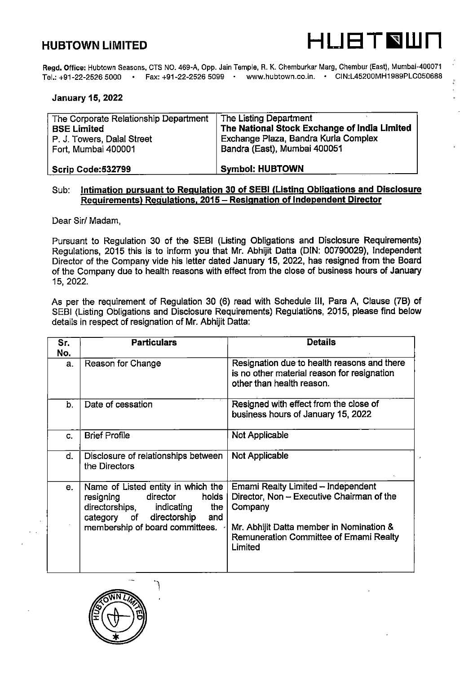

Regd. Office: Hubtown Seasons, CTS NO. 469-A, 0pp. Jain Temple, R. K. Chemburkar Marg, Chembur (East), Mumbai-400071 Tel.:+91-22-2526 5000 • Fax:+91-22-2526 5099 • www.hubtown.co.in. • CIN:L45200MH1989PLC050688

# January 15, 2022

| The Corporate Relationship Department | The Listing Department                       |
|---------------------------------------|----------------------------------------------|
| <b>BSE Limited</b>                    | The National Stock Exchange of India Limited |
| P. J. Towers, Dalal Street            | Exchange Plaza, Bandra Kurla Complex         |
| Fort, Mumbai 400001                   | Bandra (East), Mumbai 400051                 |
|                                       |                                              |
| Scrip Code:532799                     | <b>Symbol: HUBTOWN</b>                       |

## Sub: Intimation pursuant to Regulation 30 of SEBI (Listing Obligations and Disclosure Requirements) Regulations. 2015 - Resignation of Independent Director

Dear Sir/ Madam.

Pursuant to Regulation 30 of the SEBI (Listing Obligations and Disclosure Requirements) Regulations, 2015 this is to inform you that Mr. Abhijit Datta (DIN: 00790029), Independent Director of the Company vide his letter dated January 15, 2022, has resigned from the Board of the Company due to health reasons with effect from the close of business hours of January 15, 2022.

As per the requirement of Regulation 30 (6) read with Schedule III, Para A, Clause (7B) of SEBI (Listing Obligations and Disclosure Requirements) Regulations, 2015, please find below details in respect of resignation of Mr. Abhijit Datta:

| Sr.<br>No.     | <b>Particulars</b>                                                                                                                                                                   | <b>Details</b>                                                                                                                                                                              |
|----------------|--------------------------------------------------------------------------------------------------------------------------------------------------------------------------------------|---------------------------------------------------------------------------------------------------------------------------------------------------------------------------------------------|
| a <sub>z</sub> | Reason for Change                                                                                                                                                                    | Resignation due to health reasons and there<br>is no other material reason for resignation<br>other than health reason.                                                                     |
| b.             | Date of cessation                                                                                                                                                                    | Resigned with effect from the close of<br>business hours of January 15, 2022                                                                                                                |
| C.             | <b>Brief Profile</b>                                                                                                                                                                 | Not Applicable                                                                                                                                                                              |
| d.             | Disclosure of relationships between<br>the Directors                                                                                                                                 | Not Applicable                                                                                                                                                                              |
| е.             | Name of Listed entity in which the<br>holds<br>resigning<br>director<br>directorships,<br>indicating<br>the<br>category of<br>directorship<br>and<br>membership of board committees. | Emami Realty Limited - Independent<br>Director, Non - Executive Chairman of the<br>Company<br>Mr. Abhijit Datta member in Nomination &<br>Remuneration Committee of Emami Realty<br>Limited |

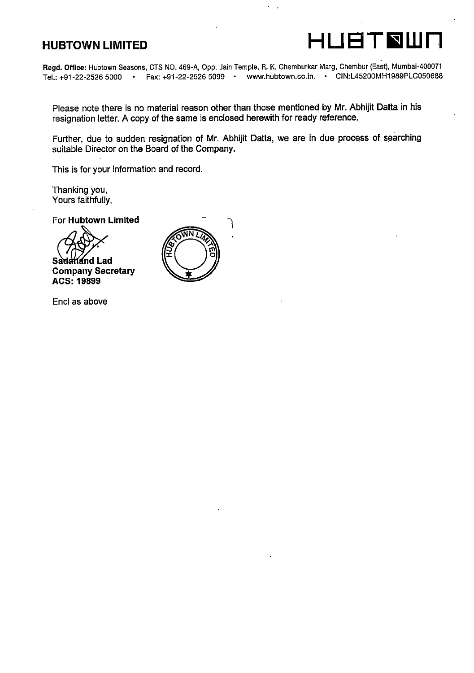

Regd. Office: Hubtown Seasons, CTS NO. 469-A, 0pp. Jain Temple, R. K. Chemburkar Marg, Chembur (East), Mumbai-400071 Tel.:+91-22-2526 5000 • Fax:+91-22-2526 5099 • www.hubtown.co.in. • CIN:L45200MH1989PLC050688

Please note there is no material reason other than those mentioned by Mr. Abhijit Datta in his resignation letter. A copy of the same is enclosed herewith for ready reference.

Further, due to sudden resignation of Mr. Abhijit Datta, we are in due process of searching suitable Director on the Board of the Company.

This is for your information and record.

Thanking you, Yours faithfully,

For Hubtown Limited

hand Lad Company Secretary ACS: 19899



Encl as above